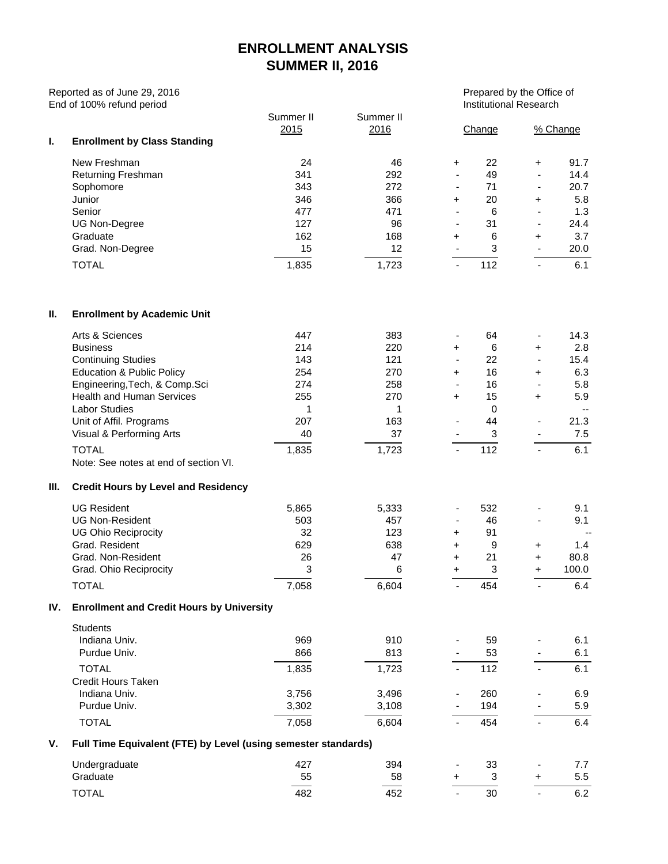## **ENROLLMENT ANALYSIS SUMMER II, 2016**

Reported as of June 29, 2016<br>
End of 100% refund period<br>
Prepared by the Office of<br>
Institutional Research End of 100% refund period

| I. | <b>Enrollment by Class Standing</b> | Summer II<br>2015 | Summer II<br>2016 |                              | Change | % Change                 |      |  |
|----|-------------------------------------|-------------------|-------------------|------------------------------|--------|--------------------------|------|--|
|    | New Freshman                        | 24                | 46                | ÷.                           | 22     | $\pm$                    | 91.7 |  |
|    | <b>Returning Freshman</b>           | 341               | 292               | ۰                            | 49     | $\overline{\phantom{0}}$ | 14.4 |  |
|    | Sophomore                           | 343               | 272               | ۰                            | 71     | $\overline{\phantom{0}}$ | 20.7 |  |
|    | Junior                              | 346               | 366               | $\ddot{}$                    | 20     | ÷                        | 5.8  |  |
|    | Senior                              | 477               | 471               | $\qquad \qquad \blacksquare$ | 6      | ۰                        | 1.3  |  |
|    | UG Non-Degree                       | 127               | 96                | $\overline{\phantom{a}}$     | 31     | $\blacksquare$           | 24.4 |  |
|    | Graduate                            | 162               | 168               | ÷.                           | 6      | $\ddot{}$                | 3.7  |  |
|    | Grad. Non-Degree                    | 15                | 12                | $\overline{\phantom{a}}$     | 3      |                          | 20.0 |  |
|    | TOTAL                               | 1,835             | 1,723             | $\overline{\phantom{0}}$     | 112    |                          | 6.1  |  |

## **II. Enrollment by Academic Unit**

|     | Arts & Sciences                                  | 447   | 383   |                          | 64       | $\overline{\phantom{a}}$ | 14.3  |
|-----|--------------------------------------------------|-------|-------|--------------------------|----------|--------------------------|-------|
|     | <b>Business</b>                                  | 214   | 220   | $\pm$                    | 6        | $\ddot{}$                | 2.8   |
|     | <b>Continuing Studies</b>                        | 143   | 121   | $\overline{\phantom{a}}$ | 22       | $\overline{\phantom{a}}$ | 15.4  |
|     | <b>Education &amp; Public Policy</b>             | 254   | 270   | $+$                      | 16       | $\ddot{}$                | 6.3   |
|     | Engineering, Tech, & Comp. Sci                   | 274   | 258   |                          | 16       |                          | 5.8   |
|     | <b>Health and Human Services</b>                 | 255   | 270   | $\pm$                    | 15       | $\ddot{}$                | 5.9   |
|     | <b>Labor Studies</b>                             | 1     | 1     |                          | $\Omega$ |                          |       |
|     | Unit of Affil. Programs                          | 207   | 163   |                          | 44       | $\overline{\phantom{a}}$ | 21.3  |
|     | Visual & Performing Arts                         | 40    | 37    |                          | 3        | $\overline{\phantom{a}}$ | 7.5   |
|     | <b>TOTAL</b>                                     | 1,835 | 1,723 |                          | 112      | $\blacksquare$           | 6.1   |
|     | Note: See notes at end of section VI.            |       |       |                          |          |                          |       |
| Ш.  | <b>Credit Hours by Level and Residency</b>       |       |       |                          |          |                          |       |
|     | <b>UG Resident</b>                               | 5,865 | 5,333 |                          | 532      |                          | 9.1   |
|     | <b>UG Non-Resident</b>                           | 503   | 457   |                          | 46       |                          | 9.1   |
|     | <b>UG Ohio Reciprocity</b>                       | 32    | 123   | $\pm$                    | 91       |                          |       |
|     | Grad, Resident                                   | 629   | 638   | $\pm$                    | 9        | $\ddot{}$                | 1.4   |
|     | Grad, Non-Resident                               | 26    | 47    | $+$                      | 21       | $\ddot{}$                | 80.8  |
|     | Grad. Ohio Reciprocity                           | 3     | 6     | $\ddot{}$                | 3        | $+$                      | 100.0 |
|     | <b>TOTAL</b>                                     | 7,058 | 6,604 | $\blacksquare$           | 454      |                          | 6.4   |
| IV. | <b>Enrollment and Credit Hours by University</b> |       |       |                          |          |                          |       |
|     | <b>Students</b>                                  |       |       |                          |          |                          |       |
|     | Indiana Univ.                                    | 969   | 910   |                          | 59       |                          | 6.1   |
|     | Purdue Univ.                                     | 866   | 813   |                          | 53       |                          | 6.1   |
|     |                                                  |       |       |                          |          |                          |       |

|    | Puldue Ulliv.                                                  | ooo   | 013   |                          | ວວ  |   | 0. I |  |  |  |  |
|----|----------------------------------------------------------------|-------|-------|--------------------------|-----|---|------|--|--|--|--|
|    | <b>TOTAL</b>                                                   | 1,835 | 1.723 |                          | 112 |   | 6.1  |  |  |  |  |
|    | Credit Hours Taken                                             |       |       |                          |     |   |      |  |  |  |  |
|    | Indiana Univ.                                                  | 3.756 | 3.496 | $\overline{\phantom{a}}$ | 260 | ۰ | 6.9  |  |  |  |  |
|    | Purdue Univ.                                                   | 3,302 | 3,108 | $\overline{\phantom{0}}$ | 194 |   | 5.9  |  |  |  |  |
|    | <b>TOTAL</b>                                                   | 7,058 | 6,604 |                          | 454 |   | 6.4  |  |  |  |  |
| V. | Full Time Equivalent (FTE) by Level (using semester standards) |       |       |                          |     |   |      |  |  |  |  |
|    | Undergraduate                                                  | 427   | 394   | ٠                        | 33  | ۰ | 7.7  |  |  |  |  |
|    | Graduate                                                       | 55    | 58    | $\ddot{}$                | 3   | ÷ | 5.5  |  |  |  |  |
|    |                                                                |       |       |                          |     |   |      |  |  |  |  |

TOTAL 482 452 - 30 - 6.2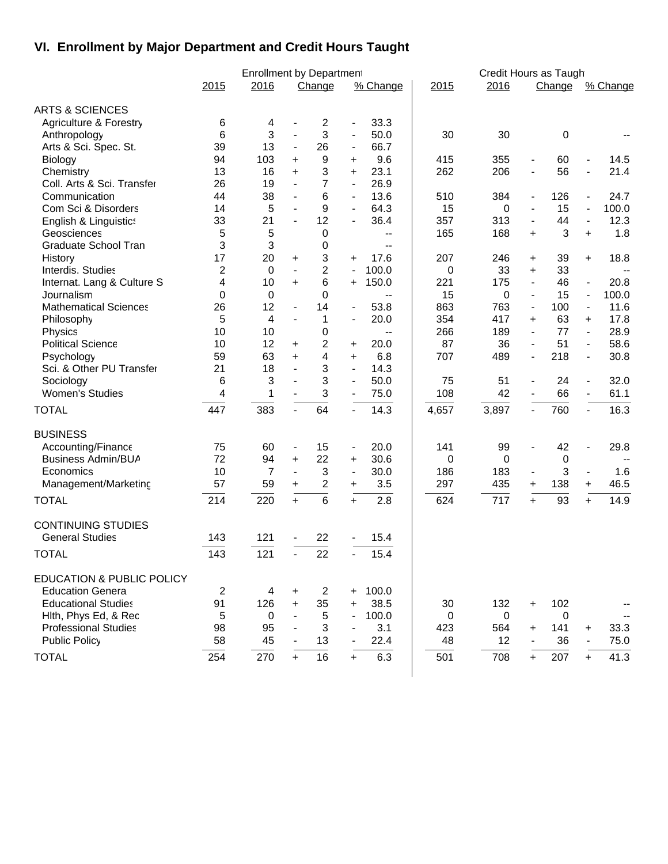## **VI. Enrollment by Major Department and Credit Hours Taught**

|                                      |      | <b>Enrollment by Department</b> |                          |                         |                          |                          |       | Credit Hours as Taugh |                          |        |                              |          |
|--------------------------------------|------|---------------------------------|--------------------------|-------------------------|--------------------------|--------------------------|-------|-----------------------|--------------------------|--------|------------------------------|----------|
|                                      | 2015 | 2016                            |                          | Change                  |                          | % Change                 | 2015  | 2016                  |                          | Change |                              | % Change |
| <b>ARTS &amp; SCIENCES</b>           |      |                                 |                          |                         |                          |                          |       |                       |                          |        |                              |          |
| Agriculture & Forestry               | 6    | 4                               |                          | 2                       | -                        | 33.3                     |       |                       |                          |        |                              |          |
| Anthropology                         | 6    | 3                               | $\blacksquare$           | 3                       | $\blacksquare$           | 50.0                     | 30    | 30                    |                          | 0      |                              |          |
| Arts & Sci. Spec. St.                | 39   | 13                              | $\blacksquare$           | 26                      | $\overline{\phantom{a}}$ | 66.7                     |       |                       |                          |        |                              |          |
| <b>Biology</b>                       | 94   | 103                             | +                        | 9                       | +                        | 9.6                      | 415   | 355                   | $\overline{\phantom{a}}$ | 60     | $\overline{\phantom{a}}$     | 14.5     |
| Chemistry                            | 13   | 16                              | $\ddot{}$                | 3                       | $\ddot{}$                | 23.1                     | 262   | 206                   | $\overline{\phantom{a}}$ | 56     | $\overline{a}$               | 21.4     |
| Coll. Arts & Sci. Transfer           | 26   | 19                              | $\overline{\phantom{a}}$ | $\overline{7}$          | $\overline{\phantom{a}}$ | 26.9                     |       |                       |                          |        |                              |          |
| Communication                        | 44   | 38                              | $\blacksquare$           | 6                       | $\blacksquare$           | 13.6                     | 510   | 384                   | $\blacksquare$           | 126    | $\overline{\phantom{a}}$     | 24.7     |
| Com Sci & Disorders                  | 14   | 5                               | $\overline{\phantom{a}}$ | 9                       | $\blacksquare$           | 64.3                     | 15    | 0                     | $\blacksquare$           | 15     | $\qquad \qquad \blacksquare$ | 100.0    |
| English & Linguistics                | 33   | 21                              | $\blacksquare$           | 12                      | $\overline{\phantom{0}}$ | 36.4                     | 357   | 313                   | $\blacksquare$           | 44     | $\overline{a}$               | 12.3     |
| Geosciences                          | 5    | 5                               |                          | 0                       |                          | $\overline{\phantom{a}}$ | 165   | 168                   | +                        | 3      | $\ddot{}$                    | 1.8      |
| Graduate School Tran                 | 3    | 3                               |                          | 0                       |                          | $-$                      |       |                       |                          |        |                              |          |
| History                              | 17   | 20                              | +                        | 3                       | +                        | 17.6                     | 207   | 246                   | +                        | 39     | +                            | 18.8     |
| Interdis. Studies                    | 2    | $\Omega$                        | $\blacksquare$           | 2                       | $\overline{a}$           | 100.0                    | 0     | 33                    | +                        | 33     |                              |          |
| Internat. Lang & Culture S           | 4    | 10                              | +                        | 6                       | +                        | 150.0                    | 221   | 175                   | $\blacksquare$           | 46     | $\qquad \qquad \blacksquare$ | 20.8     |
| Journalism                           | 0    | $\pmb{0}$                       |                          | 0                       |                          |                          | 15    | $\pmb{0}$             | $\blacksquare$           | 15     | $\blacksquare$               | 100.0    |
| <b>Mathematical Sciences</b>         | 26   | 12                              | $\overline{\phantom{a}}$ | 14                      | $\overline{\phantom{a}}$ | 53.8                     | 863   | 763                   | $\blacksquare$           | 100    | $\overline{\phantom{a}}$     | 11.6     |
| Philosophy                           | 5    | 4                               | $\blacksquare$           | 1                       | $\overline{\phantom{0}}$ | 20.0                     | 354   | 417                   | +                        | 63     | $\ddot{}$                    | 17.8     |
| Physics                              | 10   | 10                              |                          | 0                       |                          | $\overline{\phantom{a}}$ | 266   | 189                   | $\blacksquare$           | 77     | $\blacksquare$               | 28.9     |
| <b>Political Science</b>             | 10   | 12                              | +                        | 2                       | +                        | 20.0                     | 87    | 36                    | $\blacksquare$           | 51     | $\overline{\phantom{a}}$     | 58.6     |
| Psychology                           | 59   | 63                              | +                        | 4                       | $\ddot{}$                | 6.8                      | 707   | 489                   | $\blacksquare$           | 218    | $\overline{\phantom{a}}$     | 30.8     |
| Sci. & Other PU Transfer             | 21   | 18                              | $\overline{\phantom{a}}$ | 3                       | $\blacksquare$           | 14.3                     |       |                       |                          |        |                              |          |
| Sociology                            | 6    | 3                               | $\blacksquare$           | 3                       | $\overline{\phantom{a}}$ | 50.0                     | 75    | 51                    | $\overline{\phantom{a}}$ | 24     | $\overline{\phantom{a}}$     | 32.0     |
| <b>Women's Studies</b>               | 4    | 1                               | $\blacksquare$           | 3                       | $\blacksquare$           | 75.0                     | 108   | 42                    | $\blacksquare$           | 66     | $\blacksquare$               | 61.1     |
| <b>TOTAL</b>                         | 447  | 383                             | $\blacksquare$           | 64                      | $\blacksquare$           | 14.3                     | 4,657 | 3,897                 | $\blacksquare$           | 760    | $\overline{a}$               | 16.3     |
| <b>BUSINESS</b>                      |      |                                 |                          |                         |                          |                          |       |                       |                          |        |                              |          |
| Accounting/Finance                   | 75   | 60                              | $\blacksquare$           | 15                      | $\overline{\phantom{a}}$ | 20.0                     | 141   | 99                    | $\overline{a}$           | 42     |                              | 29.8     |
| <b>Business Admin/BUA</b>            | 72   | 94                              | +                        | 22                      | +                        | 30.6                     | 0     | 0                     |                          | 0      |                              |          |
| Economics                            | 10   | 7                               | $\blacksquare$           | $\sqrt{3}$              | $\overline{\phantom{a}}$ | 30.0                     | 186   | 183                   | $\blacksquare$           | 3      |                              | 1.6      |
| Management/Marketing                 | 57   | 59                              | +                        | $\overline{\mathbf{c}}$ | +                        | 3.5                      | 297   | 435                   | +                        | 138    | +                            | 46.5     |
| <b>TOTAL</b>                         | 214  | 220                             | $+$                      | 6                       | $+$                      | 2.8                      | 624   | 717                   | $+$                      | 93     | $+$                          | 14.9     |
| <b>CONTINUING STUDIES</b>            |      |                                 |                          |                         |                          |                          |       |                       |                          |        |                              |          |
| <b>General Studies</b>               | 143  | 121                             |                          | 22                      |                          | 15.4                     |       |                       |                          |        |                              |          |
|                                      |      |                                 |                          |                         |                          |                          |       |                       |                          |        |                              |          |
| <b>TOTAL</b>                         | 143  | 121                             |                          | 22                      |                          | 15.4                     |       |                       |                          |        |                              |          |
| <b>EDUCATION &amp; PUBLIC POLICY</b> |      |                                 |                          |                         |                          |                          |       |                       |                          |        |                              |          |
| <b>Education Genera</b>              | 2    | 4                               | $\ddot{}$                | 2                       | +                        | 100.0                    |       |                       |                          |        |                              |          |
| <b>Educational Studies</b>           | 91   | 126                             | $\ddot{}$                | 35                      | +                        | 38.5                     | 30    | 132                   | $\ddot{}$                | 102    |                              |          |
| Hith, Phys Ed, & Rec                 | 5    | $\mathbf 0$                     |                          | 5                       |                          | 100.0                    | 0     | $\mathbf 0$           |                          | 0      |                              |          |
| <b>Professional Studies</b>          | 98   | 95                              |                          | 3                       |                          | 3.1                      | 423   | 564                   | +                        | 141    | +                            | 33.3     |
| <b>Public Policy</b>                 | 58   | 45                              |                          | 13                      |                          | 22.4                     | 48    | 12                    |                          | 36     |                              | 75.0     |
| <b>TOTAL</b>                         | 254  | 270                             | $\ddot{}$                | 16                      | $+$                      | 6.3                      | 501   | 708                   | $+$                      | 207    | $+$                          | 41.3     |
|                                      |      |                                 |                          |                         |                          |                          |       |                       |                          |        |                              |          |